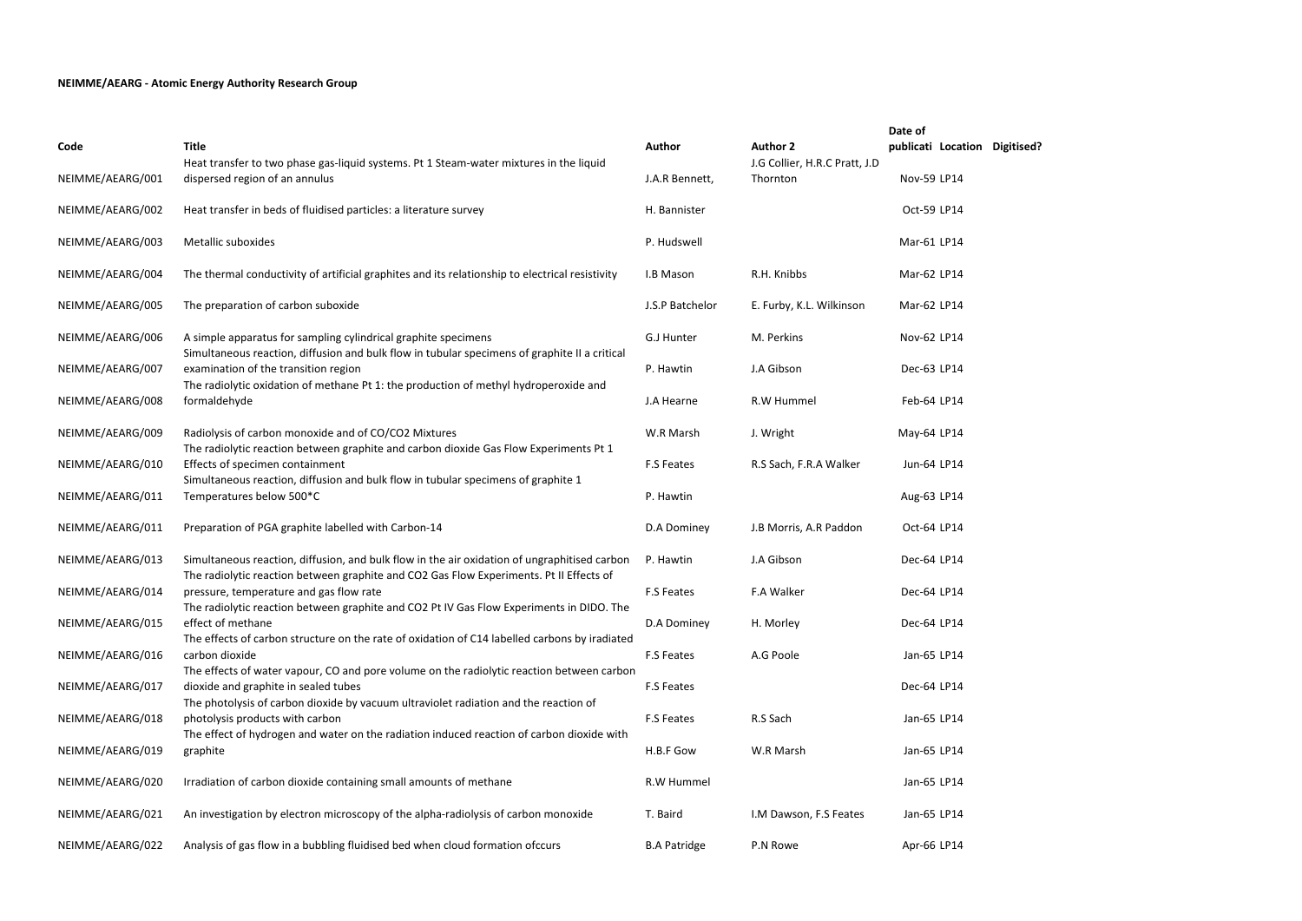|                  |                                                                                                                                                                                         |                     |                                                  | Date of            |
|------------------|-----------------------------------------------------------------------------------------------------------------------------------------------------------------------------------------|---------------------|--------------------------------------------------|--------------------|
| Code             | <b>Title</b><br>Heat transfer to two phase gas-liquid systems. Pt 1 Steam-water mixtures in the liquid                                                                                  | Author              | <b>Author 2</b><br>J.G Collier, H.R.C Pratt, J.D | publicati Location |
| NEIMME/AEARG/001 | dispersed region of an annulus                                                                                                                                                          | J.A.R Bennett,      | Thornton                                         | Nov-59 LP14        |
| NEIMME/AEARG/002 | Heat transfer in beds of fluidised particles: a literature survey                                                                                                                       | H. Bannister        |                                                  | Oct-59 LP14        |
| NEIMME/AEARG/003 | Metallic suboxides                                                                                                                                                                      | P. Hudswell         |                                                  | Mar-61 LP14        |
| NEIMME/AEARG/004 | The thermal conductivity of artificial graphites and its relationship to electrical resistivity                                                                                         | I.B Mason           | R.H. Knibbs                                      | Mar-62 LP14        |
| NEIMME/AEARG/005 | The preparation of carbon suboxide                                                                                                                                                      | J.S.P Batchelor     | E. Furby, K.L. Wilkinson                         | Mar-62 LP14        |
| NEIMME/AEARG/006 | A simple apparatus for sampling cylindrical graphite specimens<br>Simultaneous reaction, diffusion and bulk flow in tubular specimens of graphite II a critical                         | G.J Hunter          | M. Perkins                                       | Nov-62 LP14        |
| NEIMME/AEARG/007 | examination of the transition region<br>The radiolytic oxidation of methane Pt 1: the production of methyl hydroperoxide and                                                            | P. Hawtin           | J.A Gibson                                       | Dec-63 LP14        |
| NEIMME/AEARG/008 | formaldehyde                                                                                                                                                                            | J.A Hearne          | R.W Hummel                                       | Feb-64 LP14        |
| NEIMME/AEARG/009 | Radiolysis of carbon monoxide and of CO/CO2 Mixtures<br>The radiolytic reaction between graphite and carbon dioxide Gas Flow Experiments Pt 1                                           | W.R Marsh           | J. Wright                                        | May-64 LP14        |
| NEIMME/AEARG/010 | Effects of specimen containment<br>Simultaneous reaction, diffusion and bulk flow in tubular specimens of graphite 1                                                                    | <b>F.S Feates</b>   | R.S Sach, F.R.A Walker                           | Jun-64 LP14        |
| NEIMME/AEARG/011 | Temperatures below 500*C                                                                                                                                                                | P. Hawtin           |                                                  | Aug-63 LP14        |
| NEIMME/AEARG/011 | Preparation of PGA graphite labelled with Carbon-14                                                                                                                                     | D.A Dominey         | J.B Morris, A.R Paddon                           | Oct-64 LP14        |
| NEIMME/AEARG/013 | Simultaneous reaction, diffusion, and bulk flow in the air oxidation of ungraphitised carbon<br>The radiolytic reaction between graphite and CO2 Gas Flow Experiments. Pt II Effects of | P. Hawtin           | J.A Gibson                                       | Dec-64 LP14        |
| NEIMME/AEARG/014 | pressure, temperature and gas flow rate<br>The radiolytic reaction between graphite and CO2 Pt IV Gas Flow Experiments in DIDO. The                                                     | <b>F.S Feates</b>   | F.A Walker                                       | Dec-64 LP14        |
| NEIMME/AEARG/015 | effect of methane<br>The effects of carbon structure on the rate of oxidation of C14 labelled carbons by iradiated                                                                      | D.A Dominey         | H. Morley                                        | Dec-64 LP14        |
| NEIMME/AEARG/016 | carbon dioxide<br>The effects of water vapour, CO and pore volume on the radiolytic reaction between carbon                                                                             | <b>F.S Feates</b>   | A.G Poole                                        | Jan-65 LP14        |
| NEIMME/AEARG/017 | dioxide and graphite in sealed tubes<br>The photolysis of carbon dioxide by vacuum ultraviolet radiation and the reaction of                                                            | <b>F.S Feates</b>   |                                                  | Dec-64 LP14        |
| NEIMME/AEARG/018 | photolysis products with carbon<br>The effect of hydrogen and water on the radiation induced reaction of carbon dioxide with                                                            | <b>F.S Feates</b>   | R.S Sach                                         | Jan-65 LP14        |
| NEIMME/AEARG/019 | graphite                                                                                                                                                                                | H.B.F Gow           | W.R Marsh                                        | Jan-65 LP14        |
| NEIMME/AEARG/020 | Irradiation of carbon dioxide containing small amounts of methane                                                                                                                       | R.W Hummel          |                                                  | Jan-65 LP14        |
| NEIMME/AEARG/021 | An investigation by electron microscopy of the alpha-radiolysis of carbon monoxide                                                                                                      | T. Baird            | I.M Dawson, F.S Feates                           | Jan-65 LP14        |
| NEIMME/AEARG/022 | Analysis of gas flow in a bubbling fluidised bed when cloud formation ofccurs                                                                                                           | <b>B.A Patridge</b> | P.N Rowe                                         | Apr-66 LP14        |

**Digitised?** 

## **NEIMME/AEARG - Atomic Energy Authority Research Group**